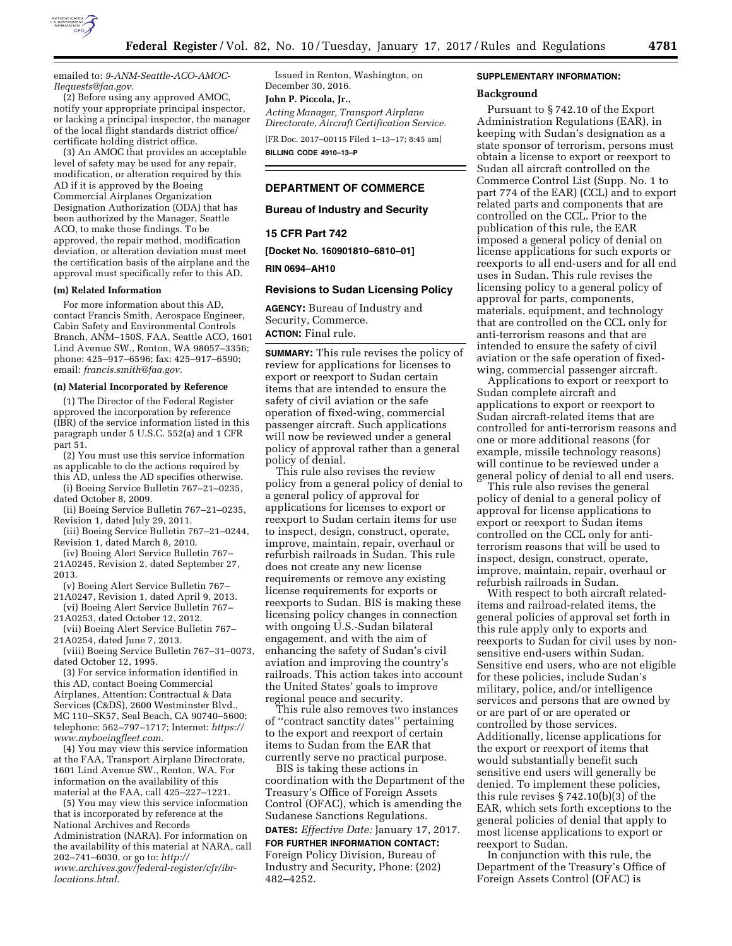

emailed to: *[9-ANM-Seattle-ACO-AMOC-](mailto:9-ANM-Seattle-ACO-AMOC-Requests@faa.gov)[Requests@faa.gov.](mailto:9-ANM-Seattle-ACO-AMOC-Requests@faa.gov)* 

(2) Before using any approved AMOC, notify your appropriate principal inspector, or lacking a principal inspector, the manager of the local flight standards district office/ certificate holding district office.

(3) An AMOC that provides an acceptable level of safety may be used for any repair, modification, or alteration required by this AD if it is approved by the Boeing Commercial Airplanes Organization Designation Authorization (ODA) that has been authorized by the Manager, Seattle ACO, to make those findings. To be approved, the repair method, modification deviation, or alteration deviation must meet the certification basis of the airplane and the approval must specifically refer to this AD.

#### **(m) Related Information**

For more information about this AD, contact Francis Smith, Aerospace Engineer, Cabin Safety and Environmental Controls Branch, ANM–150S, FAA, Seattle ACO, 1601 Lind Avenue SW., Renton, WA 98057–3356; phone: 425–917–6596; fax: 425–917–6590; email: *[francis.smith@faa.gov.](mailto:francis.smith@faa.gov)* 

#### **(n) Material Incorporated by Reference**

(1) The Director of the Federal Register approved the incorporation by reference (IBR) of the service information listed in this paragraph under 5 U.S.C. 552(a) and 1 CFR part 51.

(2) You must use this service information as applicable to do the actions required by this AD, unless the AD specifies otherwise.

(i) Boeing Service Bulletin 767–21–0235, dated October 8, 2009.

(ii) Boeing Service Bulletin 767–21–0235, Revision 1, dated July 29, 2011.

(iii) Boeing Service Bulletin 767–21–0244, Revision 1, dated March 8, 2010.

(iv) Boeing Alert Service Bulletin 767– 21A0245, Revision 2, dated September 27, 2013.

(v) Boeing Alert Service Bulletin 767–

21A0247, Revision 1, dated April 9, 2013. (vi) Boeing Alert Service Bulletin 767–

21A0253, dated October 12, 2012. (vii) Boeing Alert Service Bulletin 767–

21A0254, dated June 7, 2013.

(viii) Boeing Service Bulletin 767–31–0073, dated October 12, 1995.

(3) For service information identified in this AD, contact Boeing Commercial Airplanes, Attention: Contractual & Data Services (C&DS), 2600 Westminster Blvd., MC 110–SK57, Seal Beach, CA 90740–5600; telephone: 562–797–1717; Internet: *[https://](https://www.myboeingfleet.com) [www.myboeingfleet.com.](https://www.myboeingfleet.com)* 

(4) You may view this service information at the FAA, Transport Airplane Directorate, 1601 Lind Avenue SW., Renton, WA. For information on the availability of this material at the FAA, call 425–227–1221.

(5) You may view this service information that is incorporated by reference at the National Archives and Records Administration (NARA). For information on the availability of this material at NARA, call 202–741–6030, or go to: *[http://](http://www.archives.gov/federal-register/cfr/ibr-locations.html) [www.archives.gov/federal-register/cfr/ibr](http://www.archives.gov/federal-register/cfr/ibr-locations.html)[locations.html.](http://www.archives.gov/federal-register/cfr/ibr-locations.html)* 

Issued in Renton, Washington, on December 30, 2016.

**John P. Piccola, Jr.,** 

*Acting Manager, Transport Airplane Directorate, Aircraft Certification Service.* 

[FR Doc. 2017–00115 Filed 1–13–17; 8:45 am] **BILLING CODE 4910–13–P** 

# **DEPARTMENT OF COMMERCE**

**Bureau of Industry and Security** 

**15 CFR Part 742** 

**[Docket No. 160901810–6810–01]** 

**RIN 0694–AH10** 

### **Revisions to Sudan Licensing Policy**

**AGENCY:** Bureau of Industry and Security, Commerce. **ACTION:** Final rule.

**SUMMARY:** This rule revises the policy of review for applications for licenses to export or reexport to Sudan certain items that are intended to ensure the safety of civil aviation or the safe operation of fixed-wing, commercial passenger aircraft. Such applications will now be reviewed under a general policy of approval rather than a general policy of denial.

This rule also revises the review policy from a general policy of denial to a general policy of approval for applications for licenses to export or reexport to Sudan certain items for use to inspect, design, construct, operate, improve, maintain, repair, overhaul or refurbish railroads in Sudan. This rule does not create any new license requirements or remove any existing license requirements for exports or reexports to Sudan. BIS is making these licensing policy changes in connection with ongoing U.S.-Sudan bilateral engagement, and with the aim of enhancing the safety of Sudan's civil aviation and improving the country's railroads. This action takes into account the United States' goals to improve regional peace and security.

This rule also removes two instances of ''contract sanctity dates'' pertaining to the export and reexport of certain items to Sudan from the EAR that currently serve no practical purpose.

BIS is taking these actions in coordination with the Department of the Treasury's Office of Foreign Assets Control (OFAC), which is amending the Sudanese Sanctions Regulations. **DATES:** *Effective Date:* January 17, 2017.

**FOR FURTHER INFORMATION CONTACT:**  Foreign Policy Division, Bureau of Industry and Security, Phone: (202) 482–4252.

### **SUPPLEMENTARY INFORMATION:**

#### **Background**

Pursuant to § 742.10 of the Export Administration Regulations (EAR), in keeping with Sudan's designation as a state sponsor of terrorism, persons must obtain a license to export or reexport to Sudan all aircraft controlled on the Commerce Control List (Supp. No. 1 to part 774 of the EAR) (CCL) and to export related parts and components that are controlled on the CCL. Prior to the publication of this rule, the EAR imposed a general policy of denial on license applications for such exports or reexports to all end-users and for all end uses in Sudan. This rule revises the licensing policy to a general policy of approval for parts, components, materials, equipment, and technology that are controlled on the CCL only for anti-terrorism reasons and that are intended to ensure the safety of civil aviation or the safe operation of fixedwing, commercial passenger aircraft.

Applications to export or reexport to Sudan complete aircraft and applications to export or reexport to Sudan aircraft-related items that are controlled for anti-terrorism reasons and one or more additional reasons (for example, missile technology reasons) will continue to be reviewed under a general policy of denial to all end users.

This rule also revises the general policy of denial to a general policy of approval for license applications to export or reexport to Sudan items controlled on the CCL only for antiterrorism reasons that will be used to inspect, design, construct, operate, improve, maintain, repair, overhaul or refurbish railroads in Sudan.

With respect to both aircraft relateditems and railroad-related items, the general policies of approval set forth in this rule apply only to exports and reexports to Sudan for civil uses by nonsensitive end-users within Sudan. Sensitive end users, who are not eligible for these policies, include Sudan's military, police, and/or intelligence services and persons that are owned by or are part of or are operated or controlled by those services. Additionally, license applications for the export or reexport of items that would substantially benefit such sensitive end users will generally be denied. To implement these policies, this rule revises § 742.10(b)(3) of the EAR, which sets forth exceptions to the general policies of denial that apply to most license applications to export or reexport to Sudan.

In conjunction with this rule, the Department of the Treasury's Office of Foreign Assets Control (OFAC) is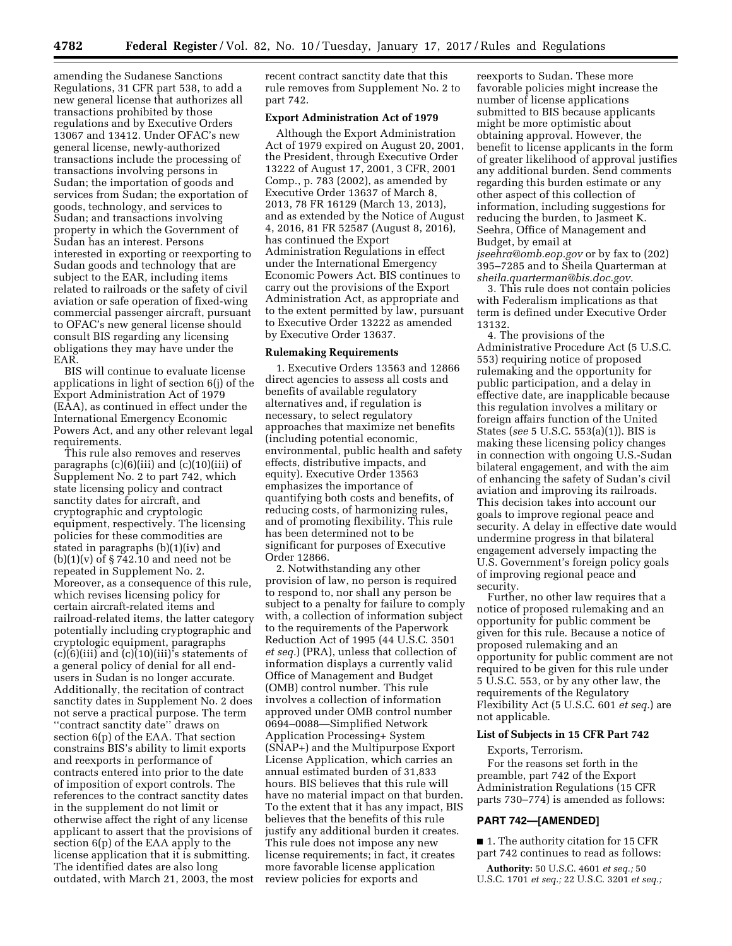amending the Sudanese Sanctions Regulations, 31 CFR part 538, to add a new general license that authorizes all transactions prohibited by those regulations and by Executive Orders 13067 and 13412. Under OFAC's new general license, newly-authorized transactions include the processing of transactions involving persons in Sudan; the importation of goods and services from Sudan; the exportation of goods, technology, and services to Sudan; and transactions involving property in which the Government of Sudan has an interest. Persons interested in exporting or reexporting to Sudan goods and technology that are subject to the EAR, including items related to railroads or the safety of civil aviation or safe operation of fixed-wing commercial passenger aircraft, pursuant to OFAC's new general license should consult BIS regarding any licensing obligations they may have under the EAR.

BIS will continue to evaluate license applications in light of section 6(j) of the Export Administration Act of 1979 (EAA), as continued in effect under the International Emergency Economic Powers Act, and any other relevant legal requirements.

This rule also removes and reserves paragraphs (c)(6)(iii) and (c)(10)(iii) of Supplement No. 2 to part 742, which state licensing policy and contract sanctity dates for aircraft, and cryptographic and cryptologic equipment, respectively. The licensing policies for these commodities are stated in paragraphs (b)(1)(iv) and  $(b)(1)(v)$  of  $\S 742.10$  and need not be repeated in Supplement No. 2. Moreover, as a consequence of this rule, which revises licensing policy for certain aircraft-related items and railroad-related items, the latter category potentially including cryptographic and cryptologic equipment, paragraphs  $(c)(6)(iii)$  and  $(c)(10)(iii)$ 's statements of a general policy of denial for all endusers in Sudan is no longer accurate. Additionally, the recitation of contract sanctity dates in Supplement No. 2 does not serve a practical purpose. The term ''contract sanctity date'' draws on section 6(p) of the EAA. That section constrains BIS's ability to limit exports and reexports in performance of contracts entered into prior to the date of imposition of export controls. The references to the contract sanctity dates in the supplement do not limit or otherwise affect the right of any license applicant to assert that the provisions of section 6(p) of the EAA apply to the license application that it is submitting. The identified dates are also long outdated, with March 21, 2003, the most recent contract sanctity date that this rule removes from Supplement No. 2 to part 742.

### **Export Administration Act of 1979**

Although the Export Administration Act of 1979 expired on August 20, 2001, the President, through Executive Order 13222 of August 17, 2001, 3 CFR, 2001 Comp., p. 783 (2002), as amended by Executive Order 13637 of March 8, 2013, 78 FR 16129 (March 13, 2013), and as extended by the Notice of August 4, 2016, 81 FR 52587 (August 8, 2016), has continued the Export Administration Regulations in effect under the International Emergency Economic Powers Act. BIS continues to carry out the provisions of the Export Administration Act, as appropriate and to the extent permitted by law, pursuant to Executive Order 13222 as amended by Executive Order 13637.

### **Rulemaking Requirements**

1. Executive Orders 13563 and 12866 direct agencies to assess all costs and benefits of available regulatory alternatives and, if regulation is necessary, to select regulatory approaches that maximize net benefits (including potential economic, environmental, public health and safety effects, distributive impacts, and equity). Executive Order 13563 emphasizes the importance of quantifying both costs and benefits, of reducing costs, of harmonizing rules, and of promoting flexibility. This rule has been determined not to be significant for purposes of Executive Order 12866.

2. Notwithstanding any other provision of law, no person is required to respond to, nor shall any person be subject to a penalty for failure to comply with, a collection of information subject to the requirements of the Paperwork Reduction Act of 1995 (44 U.S.C. 3501 *et seq.*) (PRA), unless that collection of information displays a currently valid Office of Management and Budget (OMB) control number. This rule involves a collection of information approved under OMB control number 0694–0088—Simplified Network Application Processing+ System (SNAP+) and the Multipurpose Export License Application, which carries an annual estimated burden of 31,833 hours. BIS believes that this rule will have no material impact on that burden. To the extent that it has any impact, BIS believes that the benefits of this rule justify any additional burden it creates. This rule does not impose any new license requirements; in fact, it creates more favorable license application review policies for exports and

reexports to Sudan. These more favorable policies might increase the number of license applications submitted to BIS because applicants might be more optimistic about obtaining approval. However, the benefit to license applicants in the form of greater likelihood of approval justifies any additional burden. Send comments regarding this burden estimate or any other aspect of this collection of information, including suggestions for reducing the burden, to Jasmeet K. Seehra, Office of Management and Budget, by email at *[jseehra@omb.eop.gov](mailto:jseehra@omb.eop.gov)* or by fax to (202) 395–7285 and to Sheila Quarterman at *[sheila.quarterman@bis.doc.gov.](mailto:sheila.quarterman@bis.doc.gov)* 

3. This rule does not contain policies with Federalism implications as that term is defined under Executive Order 13132.

4. The provisions of the Administrative Procedure Act (5 U.S.C. 553) requiring notice of proposed rulemaking and the opportunity for public participation, and a delay in effective date, are inapplicable because this regulation involves a military or foreign affairs function of the United States (*see* 5 U.S.C. 553(a)(1)). BIS is making these licensing policy changes in connection with ongoing U.S.-Sudan bilateral engagement, and with the aim of enhancing the safety of Sudan's civil aviation and improving its railroads. This decision takes into account our goals to improve regional peace and security. A delay in effective date would undermine progress in that bilateral engagement adversely impacting the U.S. Government's foreign policy goals of improving regional peace and security.

Further, no other law requires that a notice of proposed rulemaking and an opportunity for public comment be given for this rule. Because a notice of proposed rulemaking and an opportunity for public comment are not required to be given for this rule under 5 U.S.C. 553, or by any other law, the requirements of the Regulatory Flexibility Act (5 U.S.C. 601 *et seq.*) are not applicable.

# **List of Subjects in 15 CFR Part 742**

Exports, Terrorism.

For the reasons set forth in the preamble, part 742 of the Export Administration Regulations (15 CFR parts 730–774) is amended as follows:

### **PART 742—[AMENDED]**

■ 1. The authority citation for 15 CFR part 742 continues to read as follows:

**Authority:** 50 U.S.C. 4601 *et seq.;* 50 U.S.C. 1701 *et seq.;* 22 U.S.C. 3201 *et seq.;*